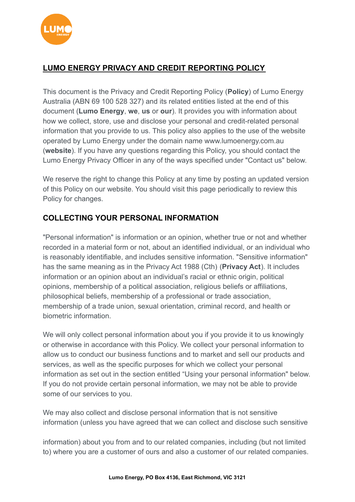

## **LUMO ENERGY PRIVACY AND CREDIT REPORTING POLICY**

This document is the Privacy and Credit Reporting Policy (**Policy**) of Lumo Energy Australia (ABN 69 100 528 327) and its related entities listed at the end of this document (**Lumo Energy**, **we**, **us** or **our**). It provides you with information about how we collect, store, use and disclose your personal and credit-related personal information that you provide to us. This policy also applies to the use of the website operated by Lumo Energy under the domain name www.lumoenergy.com.au (**website**). If you have any questions regarding this Policy, you should contact the Lumo Energy Privacy Officer in any of the ways specified under "Contact us" below.

We reserve the right to change this Policy at any time by posting an updated version of this Policy on our website. You should visit this page periodically to review this Policy for changes.

### **COLLECTING YOUR PERSONAL INFORMATION**

"Personal information" is information or an opinion, whether true or not and whether recorded in a material form or not, about an identified individual, or an individual who is reasonably identifiable, and includes sensitive information. "Sensitive information" has the same meaning as in the Privacy Act 1988 (Cth) (**Privacy Act**). It includes information or an opinion about an individual's racial or ethnic origin, political opinions, membership of a political association, religious beliefs or affiliations, philosophical beliefs, membership of a professional or trade association, membership of a trade union, sexual orientation, criminal record, and health or biometric information.

We will only collect personal information about you if you provide it to us knowingly or otherwise in accordance with this Policy. We collect your personal information to allow us to conduct our business functions and to market and sell our products and services, as well as the specific purposes for which we collect your personal information as set out in the section entitled "Using your personal information" below. If you do not provide certain personal information, we may not be able to provide some of our services to you.

We may also collect and disclose personal information that is not sensitive information (unless you have agreed that we can collect and disclose such sensitive

information) about you from and to our related companies, including (but not limited to) where you are a customer of ours and also a customer of our related companies.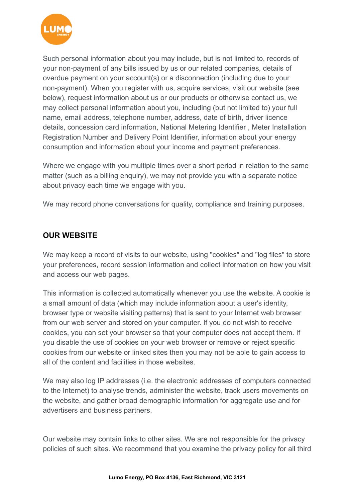

Such personal information about you may include, but is not limited to, records of your non-payment of any bills issued by us or our related companies, details of overdue payment on your account(s) or a disconnection (including due to your non-payment). When you register with us, acquire services, visit our website (see below), request information about us or our products or otherwise contact us, we may collect personal information about you, including (but not limited to) your full name, email address, telephone number, address, date of birth, driver licence details, concession card information, National Metering Identifier , Meter Installation Registration Number and Delivery Point Identifier, information about your energy consumption and information about your income and payment preferences.

Where we engage with you multiple times over a short period in relation to the same matter (such as a billing enquiry), we may not provide you with a separate notice about privacy each time we engage with you.

We may record phone conversations for quality, compliance and training purposes.

#### **OUR WEBSITE**

We may keep a record of visits to our website, using "cookies" and "log files" to store your preferences, record session information and collect information on how you visit and access our web pages.

This information is collected automatically whenever you use the website. A cookie is a small amount of data (which may include information about a user's identity, browser type or website visiting patterns) that is sent to your Internet web browser from our web server and stored on your computer. If you do not wish to receive cookies, you can set your browser so that your computer does not accept them. If you disable the use of cookies on your web browser or remove or reject specific cookies from our website or linked sites then you may not be able to gain access to all of the content and facilities in those websites.

We may also log IP addresses (i.e. the electronic addresses of computers connected to the Internet) to analyse trends, administer the website, track users movements on the website, and gather broad demographic information for aggregate use and for advertisers and business partners.

Our website may contain links to other sites. We are not responsible for the privacy policies of such sites. We recommend that you examine the privacy policy for all third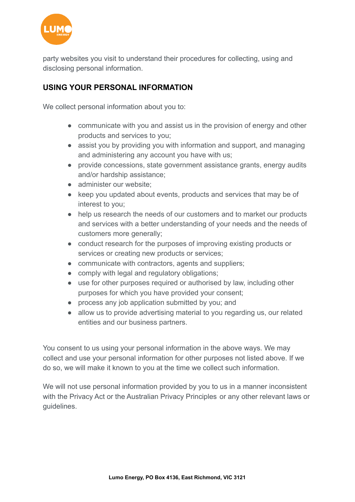

party websites you visit to understand their procedures for collecting, using and disclosing personal information.

## **USING YOUR PERSONAL INFORMATION**

We collect personal information about you to:

- communicate with you and assist us in the provision of energy and other products and services to you;
- assist you by providing you with information and support, and managing and administering any account you have with us;
- provide concessions, state government assistance grants, energy audits and/or hardship assistance;
- administer our website:
- keep you updated about events, products and services that may be of interest to you;
- help us research the needs of our customers and to market our products and services with a better understanding of your needs and the needs of customers more generally;
- conduct research for the purposes of improving existing products or services or creating new products or services;
- communicate with contractors, agents and suppliers;
- comply with legal and regulatory obligations;
- use for other purposes required or authorised by law, including other purposes for which you have provided your consent;
- process any job application submitted by you; and
- allow us to provide advertising material to you regarding us, our related entities and our business partners.

You consent to us using your personal information in the above ways. We may collect and use your personal information for other purposes not listed above. If we do so, we will make it known to you at the time we collect such information.

We will not use personal information provided by you to us in a manner inconsistent with the Privacy Act or the Australian Privacy Principles or any other relevant laws or guidelines.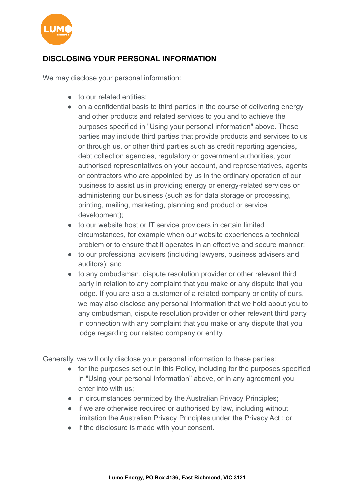

## **DISCLOSING YOUR PERSONAL INFORMATION**

We may disclose your personal information:

- to our related entities:
- on a confidential basis to third parties in the course of delivering energy and other products and related services to you and to achieve the purposes specified in "Using your personal information" above. These parties may include third parties that provide products and services to us or through us, or other third parties such as credit reporting agencies, debt collection agencies, regulatory or government authorities, your authorised representatives on your account, and representatives, agents or contractors who are appointed by us in the ordinary operation of our business to assist us in providing energy or energy-related services or administering our business (such as for data storage or processing, printing, mailing, marketing, planning and product or service development);
- to our website host or IT service providers in certain limited circumstances, for example when our website experiences a technical problem or to ensure that it operates in an effective and secure manner;
- to our professional advisers (including lawyers, business advisers and auditors); and
- to any ombudsman, dispute resolution provider or other relevant third party in relation to any complaint that you make or any dispute that you lodge. If you are also a customer of a related company or entity of ours, we may also disclose any personal information that we hold about you to any ombudsman, dispute resolution provider or other relevant third party in connection with any complaint that you make or any dispute that you lodge regarding our related company or entity.

Generally, we will only disclose your personal information to these parties:

- for the purposes set out in this Policy, including for the purposes specified in "Using your personal information" above, or in any agreement you enter into with us;
- in circumstances permitted by the Australian Privacy Principles;
- if we are otherwise required or authorised by law, including without limitation the Australian Privacy Principles under the Privacy Act ; or
- if the disclosure is made with your consent.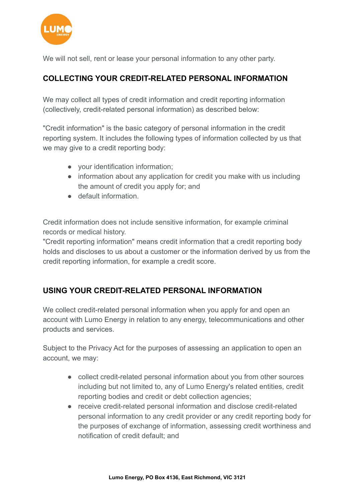

We will not sell, rent or lease your personal information to any other party.

## **COLLECTING YOUR CREDIT-RELATED PERSONAL INFORMATION**

We may collect all types of credit information and credit reporting information (collectively, credit-related personal information) as described below:

"Credit information" is the basic category of personal information in the credit reporting system. It includes the following types of information collected by us that we may give to a credit reporting body:

- your identification information;
- information about any application for credit you make with us including the amount of credit you apply for; and
- default information.

Credit information does not include sensitive information, for example criminal records or medical history.

"Credit reporting information" means credit information that a credit reporting body holds and discloses to us about a customer or the information derived by us from the credit reporting information, for example a credit score.

## **USING YOUR CREDIT-RELATED PERSONAL INFORMATION**

We collect credit-related personal information when you apply for and open an account with Lumo Energy in relation to any energy, telecommunications and other products and services.

Subject to the Privacy Act for the purposes of assessing an application to open an account, we may:

- collect credit-related personal information about you from other sources including but not limited to, any of Lumo Energy's related entities, credit reporting bodies and credit or debt collection agencies;
- receive credit-related personal information and disclose credit-related personal information to any credit provider or any credit reporting body for the purposes of exchange of information, assessing credit worthiness and notification of credit default; and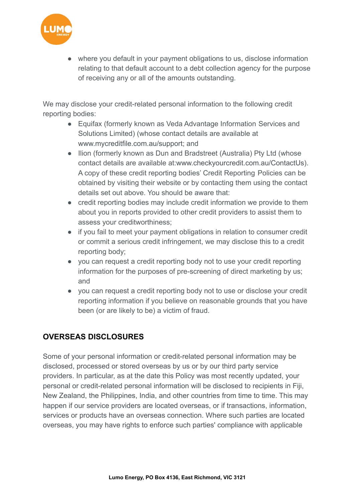

where you default in your payment obligations to us, disclose information relating to that default account to a debt collection agency for the purpose of receiving any or all of the amounts outstanding.

We may disclose your credit-related personal information to the following credit reporting bodies:

- Equifax (formerly known as Veda Advantage Information Services and Solutions Limited) (whose contact details are available at [www.mycreditfile.com.au/support;](https://www.lumoenergy.com.au/help-centre/www.mycreditfile.com.au/support) and
- Ilion (formerly known as Dun and Bradstreet (Australia) Pty Ltd (whose contact details are available at:[www.checkyourcredit.com.au/ContactUs\)](https://www.lumoenergy.com.au/help-centre/www.checkyourcredit.com.au/ContactUs). A copy of these credit reporting bodies' Credit Reporting Policies can be obtained by visiting their website or by contacting them using the contact details set out above. You should be aware that:
- credit reporting bodies may include credit information we provide to them about you in reports provided to other credit providers to assist them to assess your creditworthiness;
- if you fail to meet your payment obligations in relation to consumer credit or commit a serious credit infringement, we may disclose this to a credit reporting body;
- you can request a credit reporting body not to use your credit reporting information for the purposes of pre-screening of direct marketing by us; and
- you can request a credit reporting body not to use or disclose your credit reporting information if you believe on reasonable grounds that you have been (or are likely to be) a victim of fraud.

## **OVERSEAS DISCLOSURES**

Some of your personal information or credit-related personal information may be disclosed, processed or stored overseas by us or by our third party service providers. In particular, as at the date this Policy was most recently updated, your personal or credit-related personal information will be disclosed to recipients in Fiji, New Zealand, the Philippines, India, and other countries from time to time. This may happen if our service providers are located overseas, or if transactions, information, services or products have an overseas connection. Where such parties are located overseas, you may have rights to enforce such parties' compliance with applicable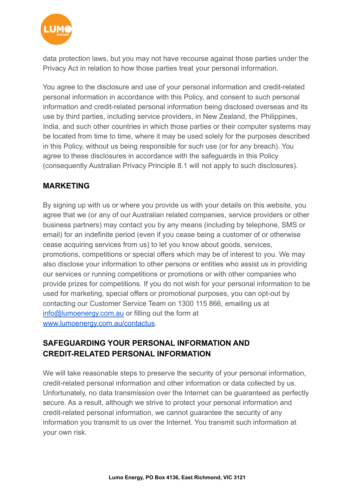

data protection laws, but you may not have recourse against those parties under the Privacy Act in relation to how those parties treat your personal information.

You agree to the disclosure and use of your personal information and credit-related personal information in accordance with this Policy, and consent to such personal information and credit-related personal information being disclosed overseas and its use by third parties, including service providers, in New Zealand, the Philippines, India, and such other countries in which those parties or their computer systems may be located from time to time, where it may be used solely for the purposes described in this Policy, without us being responsible for such use (or for any breach). You agree to these disclosures in accordance with the safeguards in this Policy (consequently Australian Privacy Principle 8.1 will not apply to such disclosures).

### **MARKETING**

By signing up with us or where you provide us with your details on this website, you agree that we (or any of our Australian related companies, service providers or other business partners) may contact you by any means (including by telephone, SMS or email) for an indefinite period (even if you cease being a customer of or otherwise cease acquiring services from us) to let you know about goods, services, promotions, competitions or special offers which may be of interest to you. We may also disclose your information to other persons or entities who assist us in providing our services or running competitions or promotions or with other companies who provide prizes for competitions. If you do not wish for your personal information to be used for marketing, special offers or promotional purposes, you can opt-out by contacting our Customer Service Team on 1300 115 866, emailing us at [info@lumoenergy.com.au](mailto:info@lumoenergy.com.au) or filling out the form a[t](https://www.lumoenergy.com.au/about-us/contact-us/) [www.lumoenergy.com.au/contactus.](http://www.lumoenergy.com.au/contactus)

## **SAFEGUARDING YOUR PERSONAL INFORMATION AND CREDIT-RELATED PERSONAL INFORMATION**

We will take reasonable steps to preserve the security of your personal information, credit-related personal information and other information or data collected by us. Unfortunately, no data transmission over the Internet can be guaranteed as perfectly secure. As a result, although we strive to protect your personal information and credit-related personal information, we cannot guarantee the security of any information you transmit to us over the Internet. You transmit such information at your own risk.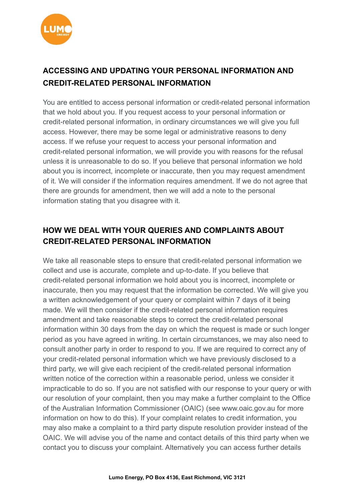

# **ACCESSING AND UPDATING YOUR PERSONAL INFORMATION AND CREDIT-RELATED PERSONAL INFORMATION**

You are entitled to access personal information or credit-related personal information that we hold about you. If you request access to your personal information or credit-related personal information, in ordinary circumstances we will give you full access. However, there may be some legal or administrative reasons to deny access. If we refuse your request to access your personal information and credit-related personal information, we will provide you with reasons for the refusal unless it is unreasonable to do so. If you believe that personal information we hold about you is incorrect, incomplete or inaccurate, then you may request amendment of it. We will consider if the information requires amendment. If we do not agree that there are grounds for amendment, then we will add a note to the personal information stating that you disagree with it.

## **HOW WE DEAL WITH YOUR QUERIES AND COMPLAINTS ABOUT CREDIT-RELATED PERSONAL INFORMATION**

We take all reasonable steps to ensure that credit-related personal information we collect and use is accurate, complete and up-to-date. If you believe that credit-related personal information we hold about you is incorrect, incomplete or inaccurate, then you may request that the information be corrected. We will give you a written acknowledgement of your query or complaint within 7 days of it being made. We will then consider if the credit-related personal information requires amendment and take reasonable steps to correct the credit-related personal information within 30 days from the day on which the request is made or such longer period as you have agreed in writing. In certain circumstances, we may also need to consult another party in order to respond to you. If we are required to correct any of your credit-related personal information which we have previously disclosed to a third party, we will give each recipient of the credit-related personal information written notice of the correction within a reasonable period, unless we consider it impracticable to do so. If you are not satisfied with our response to your query or with our resolution of your complaint, then you may make a further complaint to the Office of the Australian Information Commissioner (OAIC) (see www.oaic.gov.au for more information on how to do this). If your complaint relates to credit information, you may also make a complaint to a third party dispute resolution provider instead of the OAIC. We will advise you of the name and contact details of this third party when we contact you to discuss your complaint. Alternatively you can access further details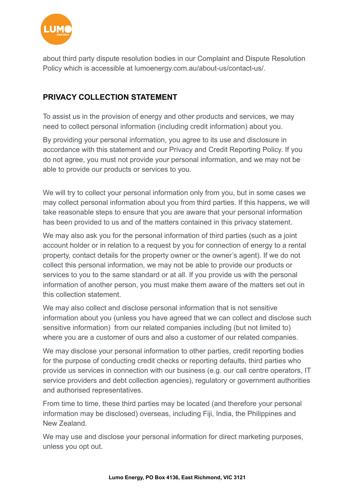

about third party dispute resolution bodies in our Complaint and Dispute Resolution Policy which is accessible at [lumoenergy.com.au/about-us/contact-us/.](https://lumoenergy.com.au/help-centre/complaints)

## **PRIVACY COLLECTION STATEMENT**

To assist us in the provision of energy and other products and services, we may need to collect personal information (including credit information) about you.

By providing your personal information, you agree to its use and disclosure in accordance with this statement and our Privacy and Credit Reporting Policy. If you do not agree, you must not provide your personal information, and we may not be able to provide our products or services to you.

We will try to collect your personal information only from you, but in some cases we may collect personal information about you from third parties. If this happens, we will take reasonable steps to ensure that you are aware that your personal information has been provided to us and of the matters contained in this privacy statement.

We may also ask you for the personal information of third parties (such as a joint account holder or in relation to a request by you for connection of energy to a rental property, contact details for the property owner or the owner's agent). If we do not collect this personal information, we may not be able to provide our products or services to you to the same standard or at all. If you provide us with the personal information of another person, you must make them aware of the matters set out in this collection statement.

We may also collect and disclose personal information that is not sensitive information about you (unless you have agreed that we can collect and disclose such sensitive information) from our related companies including (but not limited to) where you are a customer of ours and also a customer of our related companies.

We may disclose your personal information to other parties, credit reporting bodies for the purpose of conducting credit checks or reporting defaults, third parties who provide us services in connection with our business (e.g. our call centre operators, IT service providers and debt collection agencies), regulatory or government authorities and authorised representatives.

From time to time, these third parties may be located (and therefore your personal information may be disclosed) overseas, including Fiji, India, the Philippines and New Zealand.

We may use and disclose your personal information for direct marketing purposes, unless you opt out.